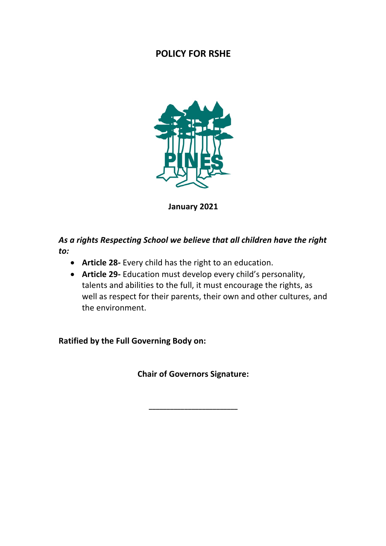# **POLICY FOR RSHE**



**January 2021**

*As a rights Respecting School we believe that all children have the right to:*

- **Article 28-** Every child has the right to an education.
- **Article 29-** Education must develop every child's personality, talents and abilities to the full, it must encourage the rights, as well as respect for their parents, their own and other cultures, and the environment.

**Ratified by the Full Governing Body on:**

**Chair of Governors Signature:**

**\_\_\_\_\_\_\_\_\_\_\_\_\_\_\_\_\_\_\_\_\_\_\_\_\_**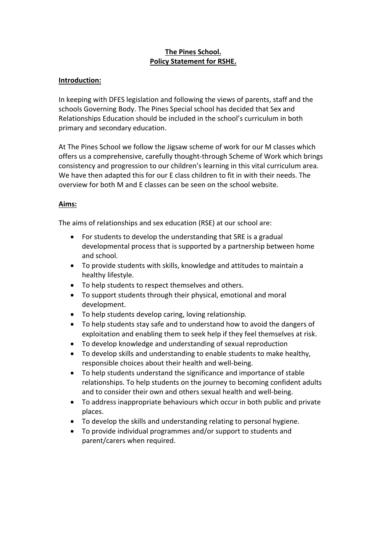## **The Pines School. Policy Statement for RSHE.**

### **Introduction:**

In keeping with DFES legislation and following the views of parents, staff and the schools Governing Body. The Pines Special school has decided that Sex and Relationships Education should be included in the school's curriculum in both primary and secondary education.

At The Pines School we follow the Jigsaw scheme of work for our M classes which offers us a comprehensive, carefully thought-through Scheme of Work which brings consistency and progression to our children's learning in this vital curriculum area. We have then adapted this for our E class children to fit in with their needs. The overview for both M and E classes can be seen on the school website.

## **Aims:**

The aims of relationships and sex education (RSE) at our school are:

- For students to develop the understanding that SRE is a gradual developmental process that is supported by a partnership between home and school.
- To provide students with skills, knowledge and attitudes to maintain a healthy lifestyle.
- To help students to respect themselves and others.
- To support students through their physical, emotional and moral development.
- To help students develop caring, loving relationship.
- To help students stay safe and to understand how to avoid the dangers of exploitation and enabling them to seek help if they feel themselves at risk.
- To develop knowledge and understanding of sexual reproduction
- To develop skills and understanding to enable students to make healthy, responsible choices about their health and well-being.
- To help students understand the significance and importance of stable relationships. To help students on the journey to becoming confident adults and to consider their own and others sexual health and well-being.
- To address inappropriate behaviours which occur in both public and private places.
- To develop the skills and understanding relating to personal hygiene.
- To provide individual programmes and/or support to students and parent/carers when required.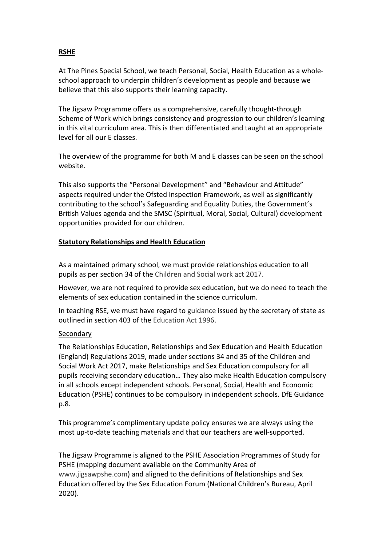## **RSHE**

At The Pines Special School, we teach Personal, Social, Health Education as a wholeschool approach to underpin children's development as people and because we believe that this also supports their learning capacity.

The Jigsaw Programme offers us a comprehensive, carefully thought-through Scheme of Work which brings consistency and progression to our children's learning in this vital curriculum area. This is then differentiated and taught at an appropriate level for all our E classes.

The overview of the programme for both M and E classes can be seen on the school website.

This also supports the "Personal Development" and "Behaviour and Attitude" aspects required under the Ofsted Inspection Framework, as well as significantly contributing to the school's Safeguarding and Equality Duties, the Government's British Values agenda and the SMSC (Spiritual, Moral, Social, Cultural) development opportunities provided for our children.

## **Statutory Relationships and Health Education**

As a maintained primary school, we must provide relationships education to all pupils as per section 34 of the Children and Social work act 2017.

However, we are not required to provide sex education, but we do need to teach the elements of sex education contained in the science curriculum.

In teaching RSE, we must have regard to guidance issued by the secretary of state as outlined in section 403 of the Education Act 1996.

## Secondary

The Relationships Education, Relationships and Sex Education and Health Education (England) Regulations 2019, made under sections 34 and 35 of the Children and Social Work Act 2017, make Relationships and Sex Education compulsory for all pupils receiving secondary education… They also make Health Education compulsory in all schools except independent schools. Personal, Social, Health and Economic Education (PSHE) continues to be compulsory in independent schools. DfE Guidance p.8.

This programme's complimentary update policy ensures we are always using the most up-to-date teaching materials and that our teachers are well-supported.

The Jigsaw Programme is aligned to the PSHE Association Programmes of Study for PSHE (mapping document available on the Community Area of www.jigsawpshe.com) and aligned to the definitions of Relationships and Sex Education offered by the Sex Education Forum (National Children's Bureau, April 2020).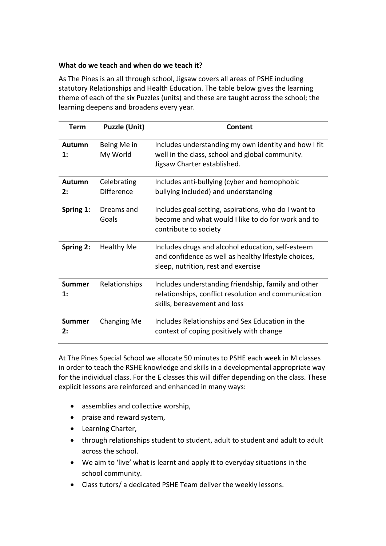## **What do we teach and when do we teach it?**

As The Pines is an all through school, Jigsaw covers all areas of PSHE including statutory Relationships and Health Education. The table below gives the learning theme of each of the six Puzzles (units) and these are taught across the school; the learning deepens and broadens every year.

| Term                            | <b>Puzzle (Unit)</b>             | Content                                                                                                                                          |  |
|---------------------------------|----------------------------------|--------------------------------------------------------------------------------------------------------------------------------------------------|--|
| <b>Autumn</b><br>$\mathbf{1}$ : | Being Me in<br>My World          | Includes understanding my own identity and how I fit<br>well in the class, school and global community.<br>Jigsaw Charter established.           |  |
| Autumn<br>2:                    | Celebrating<br><b>Difference</b> | Includes anti-bullying (cyber and homophobic<br>bullying included) and understanding                                                             |  |
| Spring 1:                       | Dreams and<br>Goals              | Includes goal setting, aspirations, who do I want to<br>become and what would I like to do for work and to<br>contribute to society              |  |
| Spring 2:                       | <b>Healthy Me</b>                | Includes drugs and alcohol education, self-esteem<br>and confidence as well as healthy lifestyle choices,<br>sleep, nutrition, rest and exercise |  |
| Summer<br>$\mathbf{1}$ :        | Relationships                    | Includes understanding friendship, family and other<br>relationships, conflict resolution and communication<br>skills, bereavement and loss      |  |
| <b>Summer</b><br>2:             | Changing Me                      | Includes Relationships and Sex Education in the<br>context of coping positively with change                                                      |  |

At The Pines Special School we allocate 50 minutes to PSHE each week in M classes in order to teach the RSHE knowledge and skills in a developmental appropriate way for the individual class. For the E classes this will differ depending on the class. These explicit lessons are reinforced and enhanced in many ways:

- assemblies and collective worship,
- praise and reward system,
- Learning Charter,
- through relationships student to student, adult to student and adult to adult across the school.
- We aim to 'live' what is learnt and apply it to everyday situations in the school community.
- Class tutors/ a dedicated PSHE Team deliver the weekly lessons.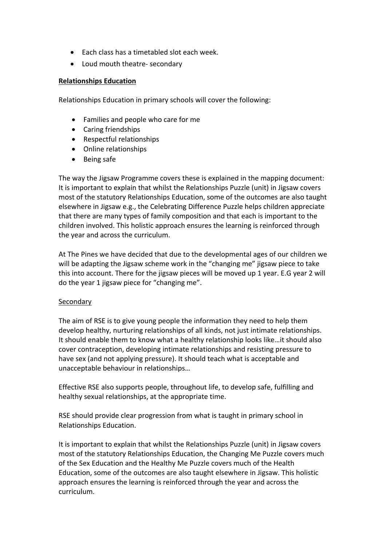- Each class has a timetabled slot each week.
- Loud mouth theatre- secondary

#### **Relationships Education**

Relationships Education in primary schools will cover the following:

- Families and people who care for me
- Caring friendships
- Respectful relationships
- Online relationships
- Being safe

The way the Jigsaw Programme covers these is explained in the mapping document: It is important to explain that whilst the Relationships Puzzle (unit) in Jigsaw covers most of the statutory Relationships Education, some of the outcomes are also taught elsewhere in Jigsaw e.g., the Celebrating Difference Puzzle helps children appreciate that there are many types of family composition and that each is important to the children involved. This holistic approach ensures the learning is reinforced through the year and across the curriculum.

At The Pines we have decided that due to the developmental ages of our children we will be adapting the Jigsaw scheme work in the "changing me" jigsaw piece to take this into account. There for the jigsaw pieces will be moved up 1 year. E.G year 2 will do the year 1 jigsaw piece for "changing me".

#### Secondary

The aim of RSE is to give young people the information they need to help them develop healthy, nurturing relationships of all kinds, not just intimate relationships. It should enable them to know what a healthy relationship looks like…it should also cover contraception, developing intimate relationships and resisting pressure to have sex (and not applying pressure). It should teach what is acceptable and unacceptable behaviour in relationships…

Effective RSE also supports people, throughout life, to develop safe, fulfilling and healthy sexual relationships, at the appropriate time.

RSE should provide clear progression from what is taught in primary school in Relationships Education.

It is important to explain that whilst the Relationships Puzzle (unit) in Jigsaw covers most of the statutory Relationships Education, the Changing Me Puzzle covers much of the Sex Education and the Healthy Me Puzzle covers much of the Health Education, some of the outcomes are also taught elsewhere in Jigsaw. This holistic approach ensures the learning is reinforced through the year and across the curriculum.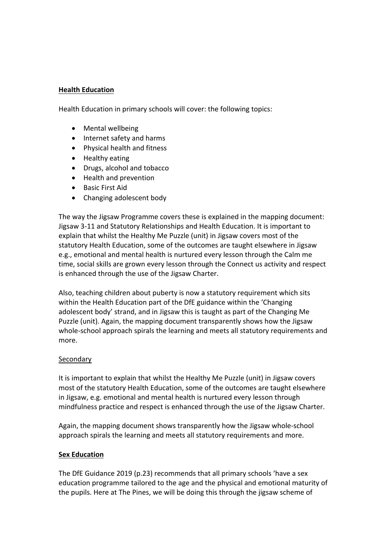#### **Health Education**

Health Education in primary schools will cover: the following topics:

- Mental wellbeing
- Internet safety and harms
- Physical health and fitness
- Healthy eating
- Drugs, alcohol and tobacco
- Health and prevention
- Basic First Aid
- Changing adolescent body

The way the Jigsaw Programme covers these is explained in the mapping document: Jigsaw 3-11 and Statutory Relationships and Health Education. It is important to explain that whilst the Healthy Me Puzzle (unit) in Jigsaw covers most of the statutory Health Education, some of the outcomes are taught elsewhere in Jigsaw e.g., emotional and mental health is nurtured every lesson through the Calm me time, social skills are grown every lesson through the Connect us activity and respect is enhanced through the use of the Jigsaw Charter.

Also, teaching children about puberty is now a statutory requirement which sits within the Health Education part of the DfE guidance within the 'Changing adolescent body' strand, and in Jigsaw this is taught as part of the Changing Me Puzzle (unit). Again, the mapping document transparently shows how the Jigsaw whole-school approach spirals the learning and meets all statutory requirements and more.

## Secondary

It is important to explain that whilst the Healthy Me Puzzle (unit) in Jigsaw covers most of the statutory Health Education, some of the outcomes are taught elsewhere in Jigsaw, e.g. emotional and mental health is nurtured every lesson through mindfulness practice and respect is enhanced through the use of the Jigsaw Charter.

Again, the mapping document shows transparently how the Jigsaw whole-school approach spirals the learning and meets all statutory requirements and more.

#### **Sex Education**

The DfE Guidance 2019 (p.23) recommends that all primary schools 'have a sex education programme tailored to the age and the physical and emotional maturity of the pupils. Here at The Pines, we will be doing this through the jigsaw scheme of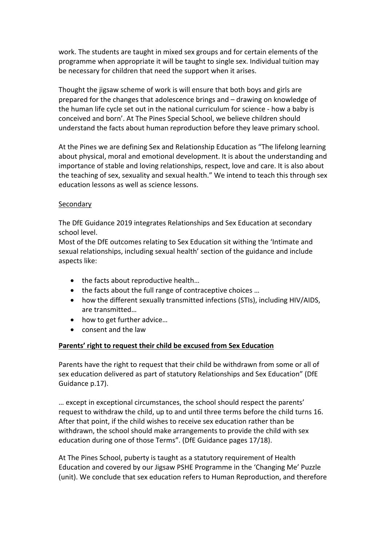work. The students are taught in mixed sex groups and for certain elements of the programme when appropriate it will be taught to single sex. Individual tuition may be necessary for children that need the support when it arises.

Thought the jigsaw scheme of work is will ensure that both boys and girls are prepared for the changes that adolescence brings and – drawing on knowledge of the human life cycle set out in the national curriculum for science - how a baby is conceived and born'. At The Pines Special School, we believe children should understand the facts about human reproduction before they leave primary school.

At the Pines we are defining Sex and Relationship Education as "The lifelong learning about physical, moral and emotional development. It is about the understanding and importance of stable and loving relationships, respect, love and care. It is also about the teaching of sex, sexuality and sexual health." We intend to teach this through sex education lessons as well as science lessons.

#### Secondary

The DfE Guidance 2019 integrates Relationships and Sex Education at secondary school level.

Most of the DfE outcomes relating to Sex Education sit withing the 'Intimate and sexual relationships, including sexual health' section of the guidance and include aspects like:

- the facts about reproductive health...
- the facts about the full range of contraceptive choices ...
- how the different sexually transmitted infections (STIs), including HIV/AIDS, are transmitted…
- how to get further advice...
- consent and the law

#### **Parents' right to request their child be excused from Sex Education**

Parents have the right to request that their child be withdrawn from some or all of sex education delivered as part of statutory Relationships and Sex Education" (DfE Guidance p.17).

… except in exceptional circumstances, the school should respect the parents' request to withdraw the child, up to and until three terms before the child turns 16. After that point, if the child wishes to receive sex education rather than be withdrawn, the school should make arrangements to provide the child with sex education during one of those Terms". (DfE Guidance pages 17/18).

At The Pines School, puberty is taught as a statutory requirement of Health Education and covered by our Jigsaw PSHE Programme in the 'Changing Me' Puzzle (unit). We conclude that sex education refers to Human Reproduction, and therefore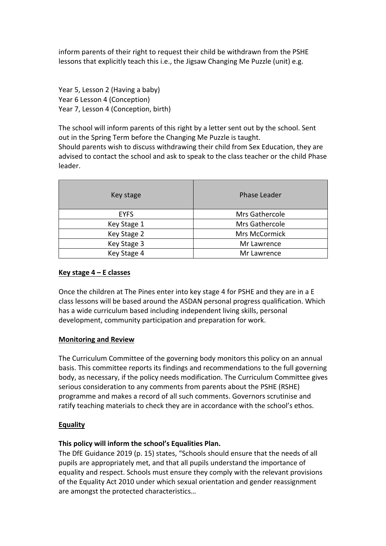inform parents of their right to request their child be withdrawn from the PSHE lessons that explicitly teach this i.e., the Jigsaw Changing Me Puzzle (unit) e.g.

Year 5, Lesson 2 (Having a baby) Year 6 Lesson 4 (Conception) Year 7, Lesson 4 (Conception, birth)

The school will inform parents of this right by a letter sent out by the school. Sent out in the Spring Term before the Changing Me Puzzle is taught. Should parents wish to discuss withdrawing their child from Sex Education, they are advised to contact the school and ask to speak to the class teacher or the child Phase leader.

| Key stage   | <b>Phase Leader</b> |
|-------------|---------------------|
| <b>EYFS</b> | Mrs Gathercole      |
| Key Stage 1 | Mrs Gathercole      |
| Key Stage 2 | Mrs McCormick       |
| Key Stage 3 | Mr Lawrence         |
| Key Stage 4 | Mr Lawrence         |

#### **Key stage 4 – E classes**

Once the children at The Pines enter into key stage 4 for PSHE and they are in a E class lessons will be based around the ASDAN personal progress qualification. Which has a wide curriculum based including independent living skills, personal development, community participation and preparation for work.

#### **Monitoring and Review**

The Curriculum Committee of the governing body monitors this policy on an annual basis. This committee reports its findings and recommendations to the full governing body, as necessary, if the policy needs modification. The Curriculum Committee gives serious consideration to any comments from parents about the PSHE (RSHE) programme and makes a record of all such comments. Governors scrutinise and ratify teaching materials to check they are in accordance with the school's ethos.

## **Equality**

## **This policy will inform the school's Equalities Plan.**

The DfE Guidance 2019 (p. 15) states, "Schools should ensure that the needs of all pupils are appropriately met, and that all pupils understand the importance of equality and respect. Schools must ensure they comply with the relevant provisions of the Equality Act 2010 under which sexual orientation and gender reassignment are amongst the protected characteristics…